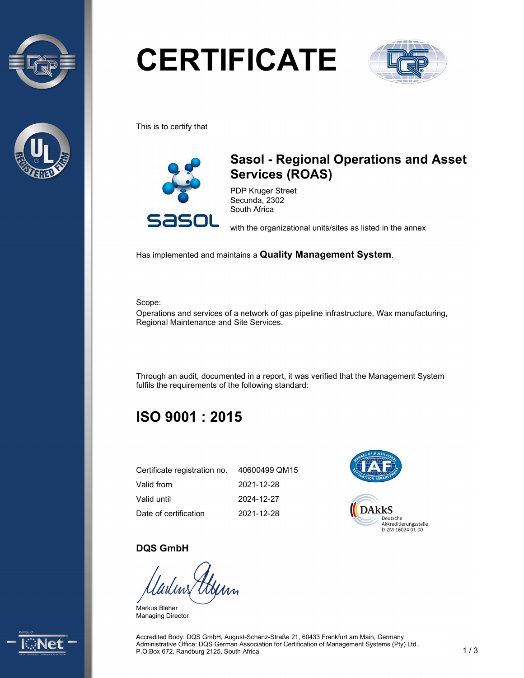



# **CERTIFICATE**



This is to certify that



## Sasol - Regional Operations and Asset Services (ROAS)

PDP Kruger Street Secunda, 2302 South Africa

with the organizational units/sites as listed in the annex

Has implemented and maintains a Quality Management System.

Scope:

Operations and services of a network of gas pipeline infrastructure, Wax manufacturing, Regional Maintenance and Site Services.

Through an audit, documented in a report, it was verified that the Management System fulfils the requirements of the following standard:

## ISO 9001 : 2015

| Certificate registration no. | 40600499 QM15 |
|------------------------------|---------------|
| Valid from                   | 2021-12-28    |
| Valid until                  | 2024-12-27    |
| Date of certification        | 2021-12-28    |



#### DQS GmbH

Markus Bleher Managing Director



Accredited Body: DQS GmbH, August-Schanz-Straße 21, 60433 Frankfurt am Main, Germany Administrative Office: DQS German Association for Certification of Management Systems (Pty) Ltd., P.O.Box 672, Randburg 2125, South Africa 1 1 3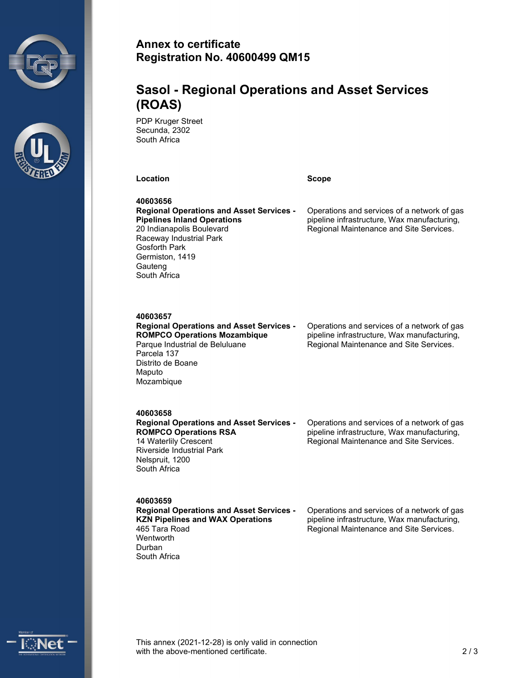



#### Annex to certificate Registration No. 40600499 QM15

## Sasol - Regional Operations and Asset Services (ROAS)

PDP Kruger Street Secunda, 2302 South Africa

Location **Scope** Scope **Scope** 

40603656 Regional Operations and Asset Services - Pipelines Inland Operations 20 Indianapolis Boulevard Raceway Industrial Park Gosforth Park Germiston, 1419 **Gauteng** South Africa

Operations and services of a network of gas pipeline infrastructure, Wax manufacturing, Regional Maintenance and Site Services.

#### 40603657

Regional Operations and Asset Services - ROMPCO Operations Mozambique Parque Industrial de Beluluane Parcela 137 Distrito de Boane Maputo Mozambique

Operations and services of a network of gas pipeline infrastructure, Wax manufacturing, Regional Maintenance and Site Services.

#### 40603658

Regional Operations and Asset Services - ROMPCO Operations RSA 14 Waterlily Crescent Riverside Industrial Park Nelspruit, 1200 South Africa

Operations and services of a network of gas pipeline infrastructure, Wax manufacturing, Regional Maintenance and Site Services.

40603659

Regional Operations and Asset Services - KZN Pipelines and WAX Operations 465 Tara Road **Wentworth** Durban South Africa

Operations and services of a network of gas pipeline infrastructure, Wax manufacturing, Regional Maintenance and Site Services.



This annex (2021-12-28) is only valid in connection with the above-mentioned certificate. 2.2 a and 2.2 a  $\sim$  2.2 a  $\sim$  2.2 a  $\sim$  2.2 a  $\sim$  2.2 a  $\sim$  2.2 a  $\sim$  2.2 a  $\sim$  2.2 a  $\sim$  2.2 a  $\sim$  2.2 a  $\sim$  2.2 a  $\sim$  2.2 a  $\sim$  2.2 a  $\sim$  2.2 a  $\sim$  2.2 a  $\sim$  2.2 a  $\sim$